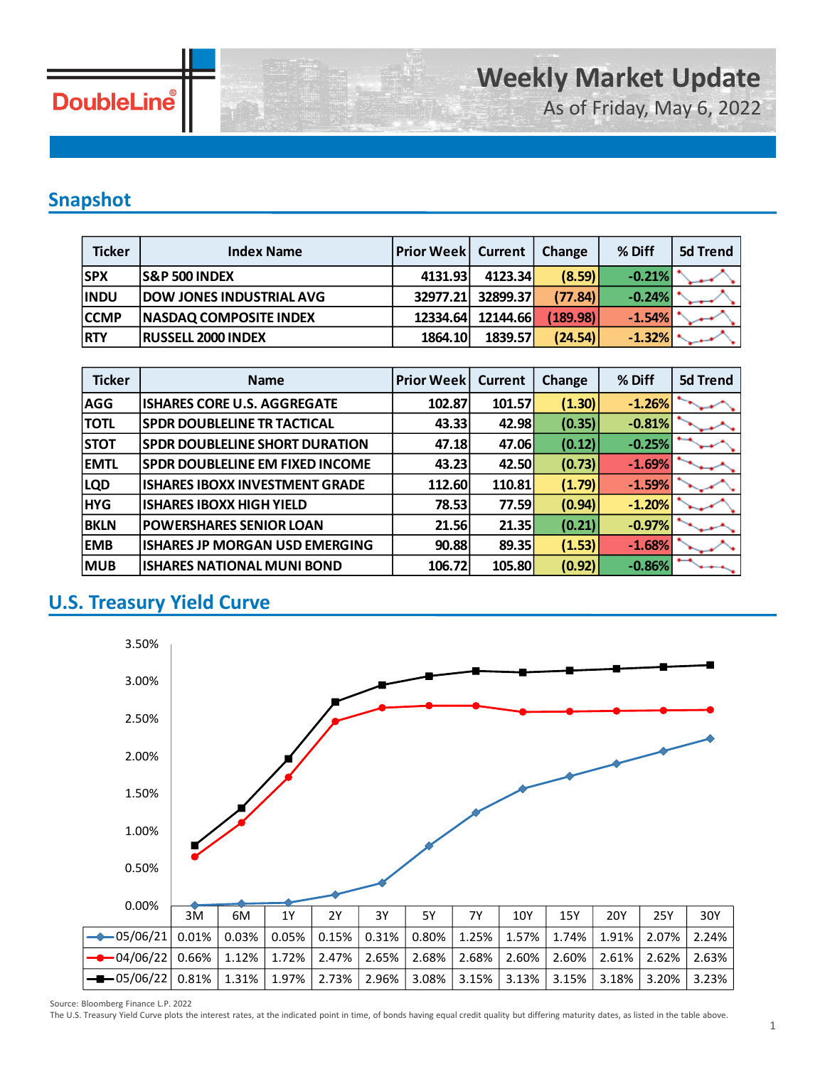

As of Friday, May 6, 2022

### **Snapshot**

| <b>Ticker</b> | <b>Index Name</b>               | <b>Prior Week   Current</b> |                 | <b>Change</b> | % Diff   | 5d Trend |
|---------------|---------------------------------|-----------------------------|-----------------|---------------|----------|----------|
| <b>SPX</b>    | <b>S&amp;P 500 INDEX</b>        | 4131.93                     | 4123.34         | (8.59)        | $-0.21%$ |          |
| <b>INDU</b>   | <b>DOW JONES INDUSTRIAL AVG</b> | 32977.21                    | 32899.37        | (77.84)       | $-0.24%$ |          |
| <b>CCMP</b>   | <b>NASDAQ COMPOSITE INDEX</b>   | 12334.64                    | <b>12144.66</b> | (189.98)      | $-1.54%$ |          |
| <b>RTY</b>    | <b>RUSSELL 2000 INDEX</b>       | 1864.10                     | 1839.57         | (24.54)       | $-1.32%$ |          |

| <b>Ticker</b> | <b>Name</b>                            | <b>Prior Week</b> | <b>Current</b> | <b>Change</b> | % Diff   | 5d Trend |
|---------------|----------------------------------------|-------------------|----------------|---------------|----------|----------|
| <b>AGG</b>    | <b>ISHARES CORE U.S. AGGREGATE</b>     | 102.87            | 101.57         | (1.30)        | $-1.26%$ |          |
| <b>TOTL</b>   | <b>SPDR DOUBLELINE TR TACTICAL</b>     | 43.33             | 42.98          | (0.35)        | $-0.81%$ |          |
| <b>STOT</b>   | <b>SPDR DOUBLELINE SHORT DURATION</b>  | 47.18             | 47.06          | (0.12)        | $-0.25%$ |          |
| <b>EMTL</b>   | <b>SPDR DOUBLELINE EM FIXED INCOME</b> | 43.23             | 42.50          | (0.73)        | $-1.69%$ |          |
| <b>LQD</b>    | <b>ISHARES IBOXX INVESTMENT GRADE</b>  | 112.60            | 110.81         | (1.79)        | $-1.59%$ |          |
| <b>HYG</b>    | <b>ISHARES IBOXX HIGH YIELD</b>        | 78.53             | 77.59          | (0.94)        | $-1.20%$ |          |
| <b>BKLN</b>   | <b>POWERSHARES SENIOR LOAN</b>         | 21.56             | 21.35          | (0.21)        | $-0.97%$ |          |
| <b>EMB</b>    | <b>ISHARES JP MORGAN USD EMERGING</b>  | 90.88             | 89.35          | (1.53)        | $-1.68%$ |          |
| <b>MUB</b>    | <b>ISHARES NATIONAL MUNI BOND</b>      | 106.72            | 105.80         | (0.92)        | $-0.86%$ |          |

### **U.S. Treasury Yield Curve**



Source: Bloomberg Finance L.P. 2022

The U.S. Treasury Yield Curve plots the interest rates, at the indicated point in time, of bonds having equal credit quality but differing maturity dates, as listed in the table above.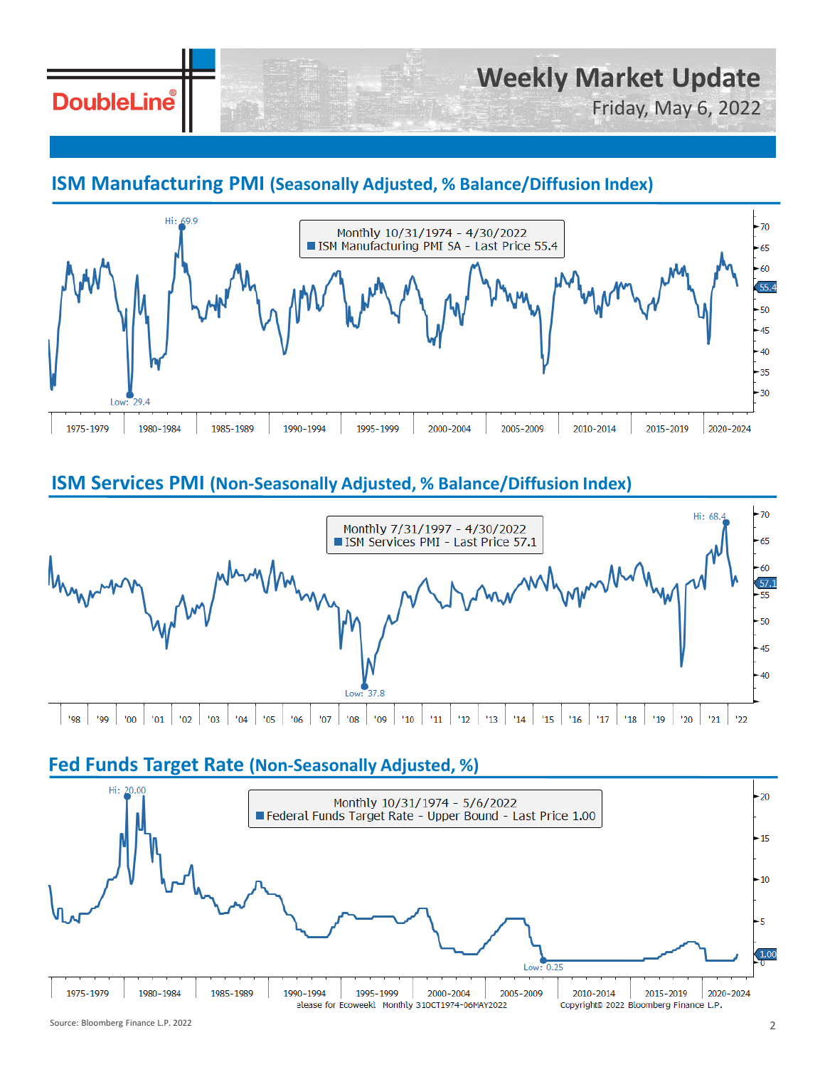# **DoubleLine**

# **Weekly Market Update**

Friday, May 6, 2022

### **ISM Manufacturing PMI (Seasonally Adjusted, % Balance/Diffusion Index)**



### **ISM Services PMI (Non-Seasonally Adjusted, % Balance/Diffusion Index)**



#### **Fed Funds Target Rate (Non-Seasonally Adjusted, %)**

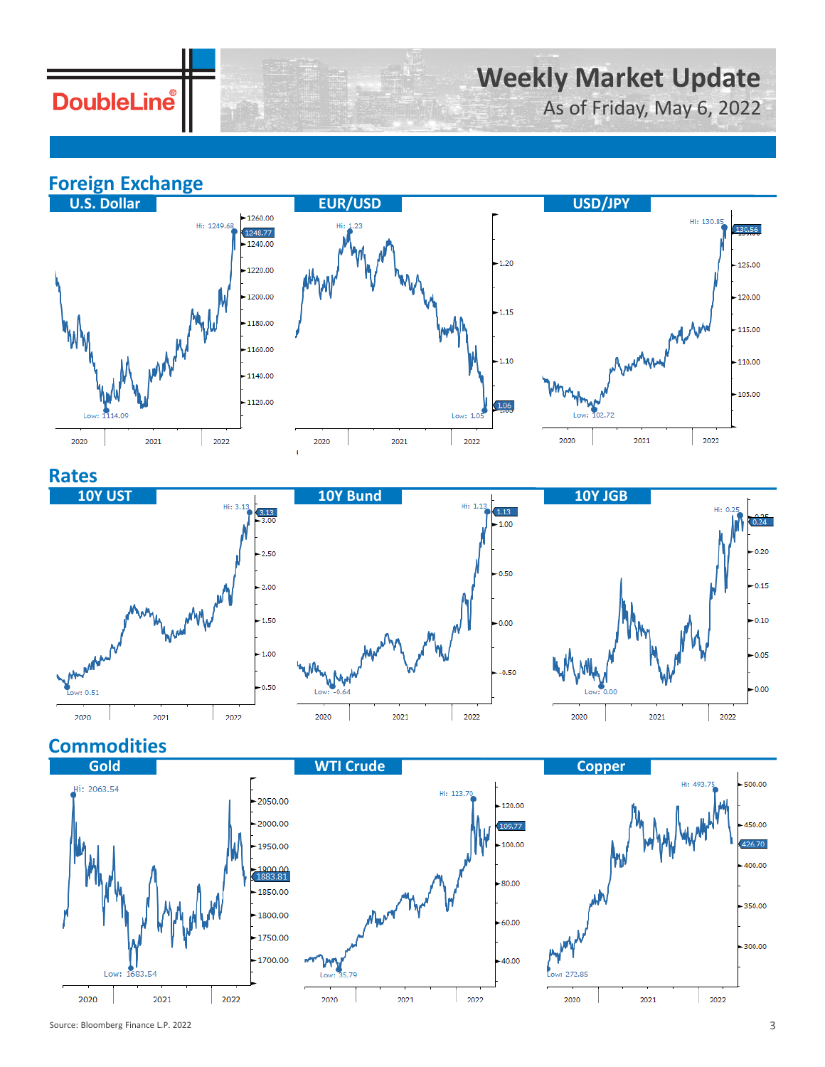## **DoubleLine**

# **Weekly Market Update**

As of Friday, May 6, 2022

**Foreign Exchange**







**Rates**



### **Commodities**







 $0.24$ 

 $0.20$ 

 $-0.15$ 

 $-0.10$ 

 $-0.05$ 

 $0.00$